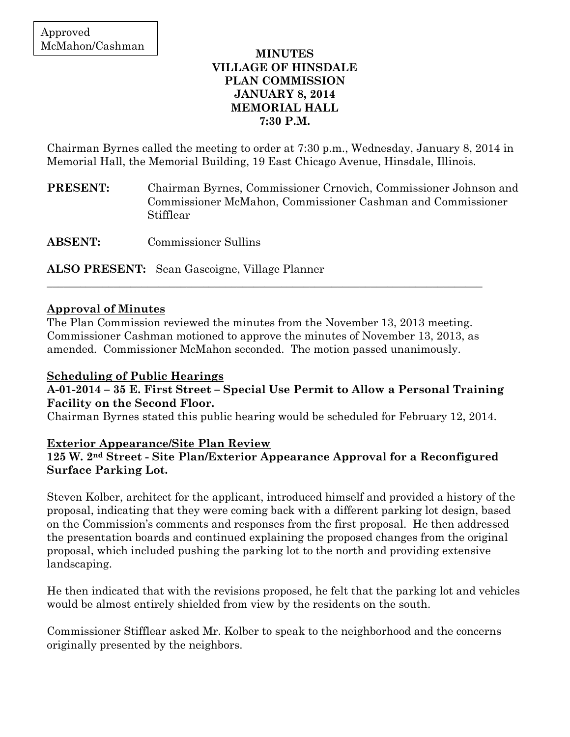## **MINUTES VILLAGE OF HINSDALE PLAN COMMISSION JANUARY 8, 2014 MEMORIAL HALL 7:30 P.M.**

Chairman Byrnes called the meeting to order at 7:30 p.m., Wednesday, January 8, 2014 in Memorial Hall, the Memorial Building, 19 East Chicago Avenue, Hinsdale, Illinois.

**PRESENT:** Chairman Byrnes, Commissioner Crnovich, Commissioner Johnson and Commissioner McMahon, Commissioner Cashman and Commissioner Stifflear

**ABSENT:** Commissioner Sullins

**ALSO PRESENT:** Sean Gascoigne, Village Planner

## **Approval of Minutes**

The Plan Commission reviewed the minutes from the November 13, 2013 meeting. Commissioner Cashman motioned to approve the minutes of November 13, 2013, as amended. Commissioner McMahon seconded. The motion passed unanimously.

\_\_\_\_\_\_\_\_\_\_\_\_\_\_\_\_\_\_\_\_\_\_\_\_\_\_\_\_\_\_\_\_\_\_\_\_\_\_\_\_\_\_\_\_\_\_\_\_\_\_\_\_\_\_\_\_\_\_\_\_\_\_\_\_\_\_\_\_\_\_\_\_\_\_\_\_\_\_

# **Scheduling of Public Hearings**

## **A-01-2014 – 35 E. First Street – Special Use Permit to Allow a Personal Training Facility on the Second Floor.**

Chairman Byrnes stated this public hearing would be scheduled for February 12, 2014.

### **Exterior Appearance/Site Plan Review**

# **125 W. 2nd Street - Site Plan/Exterior Appearance Approval for a Reconfigured Surface Parking Lot.**

Steven Kolber, architect for the applicant, introduced himself and provided a history of the proposal, indicating that they were coming back with a different parking lot design, based on the Commission's comments and responses from the first proposal. He then addressed the presentation boards and continued explaining the proposed changes from the original proposal, which included pushing the parking lot to the north and providing extensive landscaping.

He then indicated that with the revisions proposed, he felt that the parking lot and vehicles would be almost entirely shielded from view by the residents on the south.

Commissioner Stifflear asked Mr. Kolber to speak to the neighborhood and the concerns originally presented by the neighbors.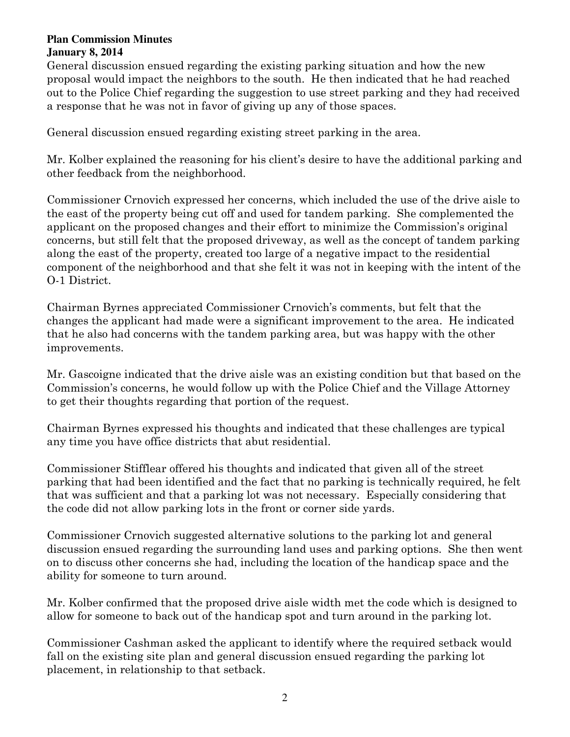#### **Plan Commission Minutes January 8, 2014**

General discussion ensued regarding the existing parking situation and how the new proposal would impact the neighbors to the south. He then indicated that he had reached out to the Police Chief regarding the suggestion to use street parking and they had received a response that he was not in favor of giving up any of those spaces.

General discussion ensued regarding existing street parking in the area.

Mr. Kolber explained the reasoning for his client's desire to have the additional parking and other feedback from the neighborhood.

Commissioner Crnovich expressed her concerns, which included the use of the drive aisle to the east of the property being cut off and used for tandem parking. She complemented the applicant on the proposed changes and their effort to minimize the Commission's original concerns, but still felt that the proposed driveway, as well as the concept of tandem parking along the east of the property, created too large of a negative impact to the residential component of the neighborhood and that she felt it was not in keeping with the intent of the O-1 District.

Chairman Byrnes appreciated Commissioner Crnovich's comments, but felt that the changes the applicant had made were a significant improvement to the area. He indicated that he also had concerns with the tandem parking area, but was happy with the other improvements.

Mr. Gascoigne indicated that the drive aisle was an existing condition but that based on the Commission's concerns, he would follow up with the Police Chief and the Village Attorney to get their thoughts regarding that portion of the request.

Chairman Byrnes expressed his thoughts and indicated that these challenges are typical any time you have office districts that abut residential.

Commissioner Stifflear offered his thoughts and indicated that given all of the street parking that had been identified and the fact that no parking is technically required, he felt that was sufficient and that a parking lot was not necessary. Especially considering that the code did not allow parking lots in the front or corner side yards.

Commissioner Crnovich suggested alternative solutions to the parking lot and general discussion ensued regarding the surrounding land uses and parking options. She then went on to discuss other concerns she had, including the location of the handicap space and the ability for someone to turn around.

Mr. Kolber confirmed that the proposed drive aisle width met the code which is designed to allow for someone to back out of the handicap spot and turn around in the parking lot.

Commissioner Cashman asked the applicant to identify where the required setback would fall on the existing site plan and general discussion ensued regarding the parking lot placement, in relationship to that setback.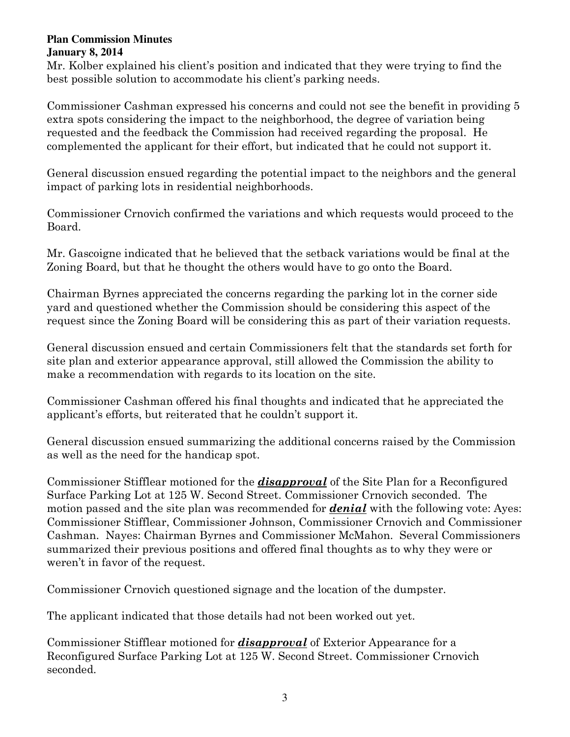#### **Plan Commission Minutes January 8, 2014**

Mr. Kolber explained his client's position and indicated that they were trying to find the best possible solution to accommodate his client's parking needs.

Commissioner Cashman expressed his concerns and could not see the benefit in providing 5 extra spots considering the impact to the neighborhood, the degree of variation being requested and the feedback the Commission had received regarding the proposal. He complemented the applicant for their effort, but indicated that he could not support it.

General discussion ensued regarding the potential impact to the neighbors and the general impact of parking lots in residential neighborhoods.

Commissioner Crnovich confirmed the variations and which requests would proceed to the Board.

Mr. Gascoigne indicated that he believed that the setback variations would be final at the Zoning Board, but that he thought the others would have to go onto the Board.

Chairman Byrnes appreciated the concerns regarding the parking lot in the corner side yard and questioned whether the Commission should be considering this aspect of the request since the Zoning Board will be considering this as part of their variation requests.

General discussion ensued and certain Commissioners felt that the standards set forth for site plan and exterior appearance approval, still allowed the Commission the ability to make a recommendation with regards to its location on the site.

Commissioner Cashman offered his final thoughts and indicated that he appreciated the applicant's efforts, but reiterated that he couldn't support it.

General discussion ensued summarizing the additional concerns raised by the Commission as well as the need for the handicap spot.

Commissioner Stifflear motioned for the *disapproval* of the Site Plan for a Reconfigured Surface Parking Lot at 125 W. Second Street. Commissioner Crnovich seconded. The motion passed and the site plan was recommended for *denial* with the following vote: Ayes: Commissioner Stifflear, Commissioner Johnson, Commissioner Crnovich and Commissioner Cashman. Nayes: Chairman Byrnes and Commissioner McMahon. Several Commissioners summarized their previous positions and offered final thoughts as to why they were or weren't in favor of the request.

Commissioner Crnovich questioned signage and the location of the dumpster.

The applicant indicated that those details had not been worked out yet.

Commissioner Stifflear motioned for *disapproval* of Exterior Appearance for a Reconfigured Surface Parking Lot at 125 W. Second Street. Commissioner Crnovich seconded.